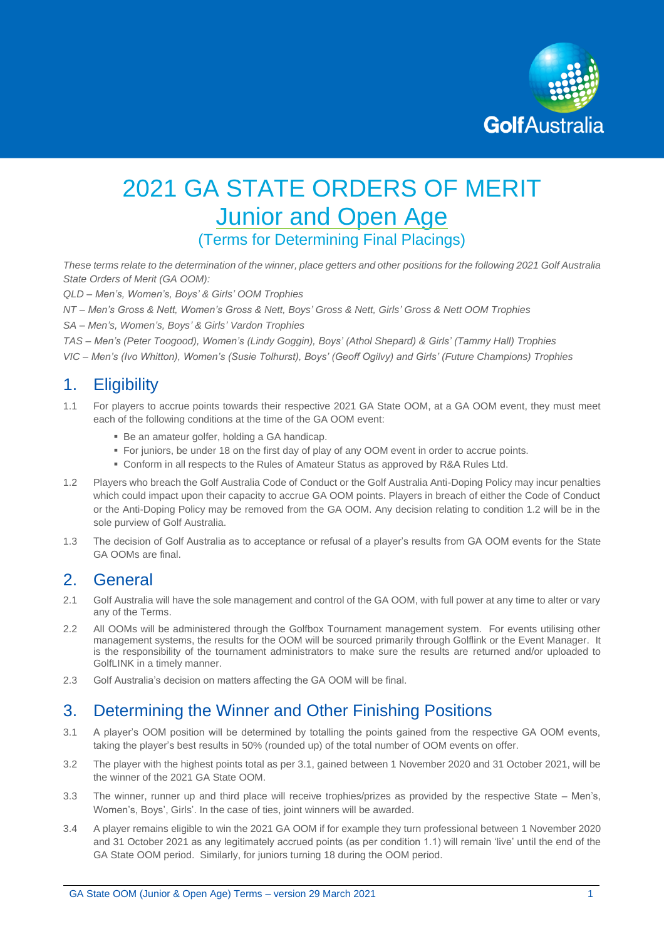

# 2021 GA STATE ORDERS OF MERIT **Junior and Open Age** (Terms for Determining Final Placings)

*These terms relate to the determination of the winner, place getters and other positions for the following 2021 Golf Australia State Orders of Merit (GA OOM):*

*QLD – Men's, Women's, Boys' & Girls' OOM Trophies*

*NT – Men's Gross & Nett, Women's Gross & Nett, Boys' Gross & Nett, Girls' Gross & Nett OOM Trophies*

*SA – Men's, Women's, Boys' & Girls' Vardon Trophies*

*TAS – Men's (Peter Toogood), Women's (Lindy Goggin), Boys' (Athol Shepard) & Girls' (Tammy Hall) Trophies VIC – Men's (Ivo Whitton), Women's (Susie Tolhurst), Boys' (Geoff Ogilvy) and Girls' (Future Champions) Trophies* 

#### 1. Eligibility

- 1.1 For players to accrue points towards their respective 2021 GA State OOM, at a GA OOM event, they must meet each of the following conditions at the time of the GA OOM event:
	- Be an amateur golfer, holding a GA handicap.
	- For juniors, be under 18 on the first day of play of any OOM event in order to accrue points.
	- Conform in all respects to the Rules of Amateur Status as approved by R&A Rules Ltd.
- 1.2 Players who breach the Golf Australia Code of Conduct or the Golf Australia Anti-Doping Policy may incur penalties which could impact upon their capacity to accrue GA OOM points. Players in breach of either the Code of Conduct or the Anti-Doping Policy may be removed from the GA OOM. Any decision relating to condition 1.2 will be in the sole purview of Golf Australia.
- 1.3 The decision of Golf Australia as to acceptance or refusal of a player's results from GA OOM events for the State GA OOMs are final.

#### 2. General

- 2.1 Golf Australia will have the sole management and control of the GA OOM, with full power at any time to alter or vary any of the Terms.
- 2.2 All OOMs will be administered through the Golfbox Tournament management system. For events utilising other management systems, the results for the OOM will be sourced primarily through Golflink or the Event Manager. It is the responsibility of the tournament administrators to make sure the results are returned and/or uploaded to GolfLINK in a timely manner.
- 2.3 Golf Australia's decision on matters affecting the GA OOM will be final.

### 3. Determining the Winner and Other Finishing Positions

- 3.1 A player's OOM position will be determined by totalling the points gained from the respective GA OOM events, taking the player's best results in 50% (rounded up) of the total number of OOM events on offer.
- 3.2 The player with the highest points total as per 3.1, gained between 1 November 2020 and 31 October 2021, will be the winner of the 2021 GA State OOM.
- 3.3 The winner, runner up and third place will receive trophies/prizes as provided by the respective State Men's, Women's, Boys', Girls'. In the case of ties, joint winners will be awarded.
- 3.4 A player remains eligible to win the 2021 GA OOM if for example they turn professional between 1 November 2020 and 31 October 2021 as any legitimately accrued points (as per condition 1.1) will remain 'live' until the end of the GA State OOM period. Similarly, for juniors turning 18 during the OOM period.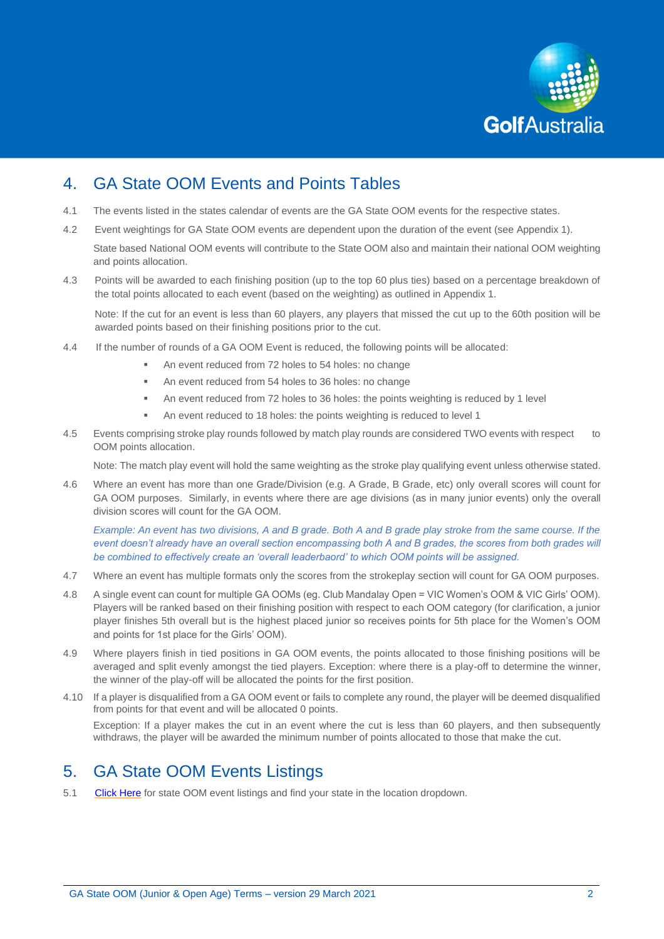

### 4. GA State OOM Events and Points Tables

- 4.1 The events listed in the states calendar of events are the GA State OOM events for the respective states.
- 4.2 Event weightings for GA State OOM events are dependent upon the duration of the event (see Appendix 1).

State based National OOM events will contribute to the State OOM also and maintain their national OOM weighting and points allocation.

4.3 Points will be awarded to each finishing position (up to the top 60 plus ties) based on a percentage breakdown of the total points allocated to each event (based on the weighting) as outlined in Appendix 1.

Note: If the cut for an event is less than 60 players, any players that missed the cut up to the 60th position will be awarded points based on their finishing positions prior to the cut.

- 4.4 If the number of rounds of a GA OOM Event is reduced, the following points will be allocated:
	- An event reduced from 72 holes to 54 holes: no change
	- An event reduced from 54 holes to 36 holes: no change
	- An event reduced from 72 holes to 36 holes: the points weighting is reduced by 1 level
	- An event reduced to 18 holes: the points weighting is reduced to level 1
- 4.5 Events comprising stroke play rounds followed by match play rounds are considered TWO events with respect to OOM points allocation.

Note: The match play event will hold the same weighting as the stroke play qualifying event unless otherwise stated.

4.6 Where an event has more than one Grade/Division (e.g. A Grade, B Grade, etc) only overall scores will count for GA OOM purposes. Similarly, in events where there are age divisions (as in many junior events) only the overall division scores will count for the GA OOM.

*Example: An event has two divisions, A and B grade. Both A and B grade play stroke from the same course. If the event doesn't already have an overall section encompassing both A and B grades, the scores from both grades will be combined to effectively create an 'overall leaderbaord' to which OOM points will be assigned.*

- 4.7 Where an event has multiple formats only the scores from the strokeplay section will count for GA OOM purposes.
- 4.8 A single event can count for multiple GA OOMs (eg. Club Mandalay Open = VIC Women's OOM & VIC Girls' OOM). Players will be ranked based on their finishing position with respect to each OOM category (for clarification, a junior player finishes 5th overall but is the highest placed junior so receives points for 5th place for the Women's OOM and points for 1st place for the Girls' OOM).
- 4.9 Where players finish in tied positions in GA OOM events, the points allocated to those finishing positions will be averaged and split evenly amongst the tied players. Exception: where there is a play-off to determine the winner, the winner of the play-off will be allocated the points for the first position.
- 4.10 If a player is disqualified from a GA OOM event or fails to complete any round, the player will be deemed disqualified from points for that event and will be allocated 0 points.

Exception: If a player makes the cut in an event where the cut is less than 60 players, and then subsequently withdraws, the player will be awarded the minimum number of points allocated to those that make the cut.

#### 5. GA State OOM Events Listings

5.1 [Click Here](https://www.golf.org.au/events#/customer/1090/schedule/2021/10640,10653,10666,10679,10692,10705,10718) for state OOM event listings and find your state in the location dropdown.